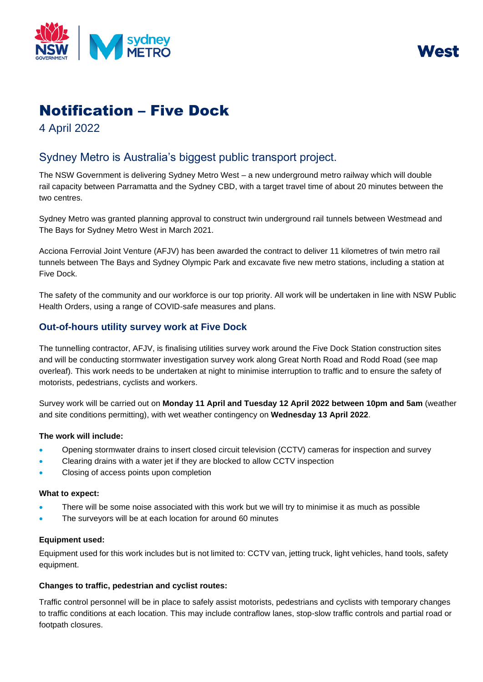



# Notification – Five Dock

4 April 2022

## Sydney Metro is Australia's biggest public transport project.

The NSW Government is delivering Sydney Metro West – a new underground metro railway which will double rail capacity between Parramatta and the Sydney CBD, with a target travel time of about 20 minutes between the two centres.

Sydney Metro was granted planning approval to construct twin underground rail tunnels between Westmead and The Bays for Sydney Metro West in March 2021.

Acciona Ferrovial Joint Venture (AFJV) has been awarded the contract to deliver 11 kilometres of twin metro rail tunnels between The Bays and Sydney Olympic Park and excavate five new metro stations, including a station at Five Dock.

The safety of the community and our workforce is our top priority. All work will be undertaken in line with NSW Public Health Orders, using a range of COVID-safe measures and plans.

### **Out-of-hours utility survey work at Five Dock**

The tunnelling contractor, AFJV, is finalising utilities survey work around the Five Dock Station construction sites and will be conducting stormwater investigation survey work along Great North Road and Rodd Road (see map overleaf). This work needs to be undertaken at night to minimise interruption to traffic and to ensure the safety of motorists, pedestrians, cyclists and workers.

Survey work will be carried out on **Monday 11 April and Tuesday 12 April 2022 between 10pm and 5am** (weather and site conditions permitting), with wet weather contingency on **Wednesday 13 April 2022**.

#### **The work will include:**

- Opening stormwater drains to insert closed circuit television (CCTV) cameras for inspection and survey
- Clearing drains with a water jet if they are blocked to allow CCTV inspection
- Closing of access points upon completion

#### **What to expect:**

- There will be some noise associated with this work but we will try to minimise it as much as possible
- The surveyors will be at each location for around 60 minutes

#### **Equipment used:**

Equipment used for this work includes but is not limited to: CCTV van, jetting truck, light vehicles, hand tools, safety equipment.

#### **Changes to traffic, pedestrian and cyclist routes:**

Traffic control personnel will be in place to safely assist motorists, pedestrians and cyclists with temporary changes to traffic conditions at each location. This may include contraflow lanes, stop-slow traffic controls and partial road or footpath closures.